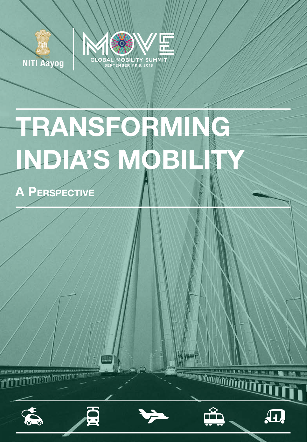

**NITI Aayog** 

# TRANSFORMING INDIA'S MÔB

A Perspective

**TITTINING** 

**DO** 





 $\bf \Delta$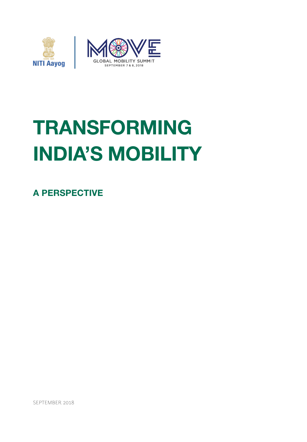

# TRANSFORMING INDIA'S MOBILITY

A PERSPECTIVE

SEPTEMBER 2018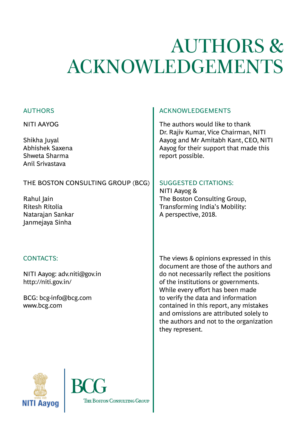# AUTHORS & ACKNOWLEDGEMENTS

# AUTHORS

NITI AAYOG

Shikha Juyal Abhishek Saxena Shweta Sharma Anil Srivastava

# THE BOSTON CONSULTING GROUP (BCG)

Rahul Jain Ritesh Ritolia Natarajan Sankar Janmejaya Sinha

# CONTACTS:

NITI Aayog: adv.niti@gov.in http://niti.gov.in/

BCG: bcg-info@bcg.com www.bcg.com

# ACKNOWLEDGEMENTS

The authors would like to thank Dr. Rajiv Kumar, Vice Chairman, NITI Aayog and Mr Amitabh Kant, CEO, NITI Aayog for their support that made this report possible.

# SUGGESTED CITATIONS:

NITI Aayog & The Boston Consulting Group, Transforming India's Mobility: A perspective, 2018.

The views & opinions expressed in this document are those of the authors and do not necessarily reflect the positions of the institutions or governments. While every effort has been made to verify the data and information contained in this report, any mistakes and omissions are attributed solely to the authors and not to the organization they represent.



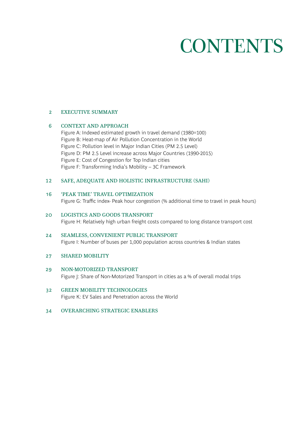# **CONTENTS**

### 2 EXECUTIVE SUMMARY

### 6 CONTEXT AND APPROACH

Figure A: Indexed estimated growth in travel demand (1980=100) Figure B: Heat-map of Air Pollution Concentration in the World Figure C: Pollution level in Major Indian Cities (PM 2.5 Level) Figure D: PM 2.5 Level increase across Major Countries (1990-2015) Figure E: Cost of Congestion for Top Indian cities Figure F: Transforming India's Mobility – 3C Framework

### 12 SAFE, ADEQUATE AND HOLISTIC INFRASTRUCTURE (SAHI)

### 16 'PEAK TIME' TRAVEL OPTIMIZATION

Figure G: Traffic index- Peak hour congestion (% additional time to travel in peak hours)

- 20 LOGISTICS AND GOODS TRANSPORT Figure H: Relatively high urban freight costs compared to long distance transport cost
- 24 SEAMLESS, CONVENIENT PUBLIC TRANSPORT Figure I: Number of buses per 1,000 population across countries & Indian states

#### 27 SHARED MOBILITY

- 29 NON-MOTORIZED TRANSPORT Figure J: Share of Non-Motorized Transport in cities as a % of overall modal trips
- 32 GREEN MOBILITY TECHNOLOGIES Figure K: EV Sales and Penetration across the World
- 34 OVERARCHING STRATEGIC ENABLERS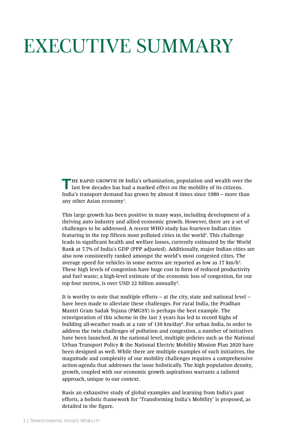# EXECUTIVE SUMMARY

**T**HE RAPID GROWTH IN India's urbanization, population and wealth over the last few decades has had a marked effect on the mobility of its citizens. India's transport demand has grown by almost 8 times since 1980 – more than any other Asian economy1 .

This large growth has been positive in many ways, including development of a thriving auto industry and allied economic growth. However, there are a set of challenges to be addressed. A recent WHO study has fourteen Indian cities featuring in the top fifteen most polluted cities in the world<sup>2</sup>. This challenge leads to significant health and welfare losses, currently estimated by the World Bank at 7.7% of India's GDP (PPP adjusted). Additionally, major Indian cities are also now consistently ranked amongst the world's most congested cities. The average speed for vehicles in some metros are reported as low as  $17 \text{ km/h}^3$ . These high levels of congestion have huge cost in form of reduced productivity and fuel waste; a high-level estimate of the economic loss of congestion, for our top four metros, is over USD 22 billion annually<sup>4</sup>.

It is worthy to note that multiple efforts – at the city, state and national level – have been made to alleviate these challenges. For rural India, the Pradhan Mantri Gram Sadak Yojana (PMGSY) is perhaps the best example. The reinvigoration of this scheme in the last 3 years has led to record highs of building all-weather roads at a rate of 130 km/day<sup>5</sup>. For urban India, in order to address the twin challenges of pollution and congestion, a number of initiatives have been launched. At the national level, multiple policies such as the National Urban Transport Policy & the National Electric Mobility Mission Plan 2020 have been designed as well. While there are multiple examples of such initiatives, the magnitude and complexity of our mobility challenges requires a comprehensive action-agenda that addresses the issue holistically. The high population density, growth, coupled with our economic growth aspirations warrants a tailored approach, unique to our context.

Basis an exhaustive study of global examples and learning from India's past efforts, a holistic framework for 'Transforming India's Mobility' is proposed, as detailed in the figure.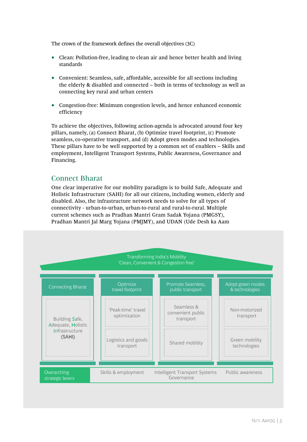The crown of the framework defines the overall objectives (3C)

- Clean: Pollution-free, leading to clean air and hence better health and living standards
- Convenient: Seamless, safe, affordable, accessible for all sections including the elderly & disabled and connected – both in terms of technology as well as connecting key rural and urban centers
- Congestion-free: Minimum congestion levels, and hence enhanced economic efficiency

To achieve the objectives, following action-agenda is advocated around four key pillars, namely, (a) Connect Bharat, (b) Optimize travel footprint, (c) Promote seamless, co-operative transport, and (d) Adopt green modes and technologies. These pillars have to be well supported by a common set of enablers – Skills and employment, Intelligent Transport Systems, Public Awareness, Governance and Financing.

# Connect Bharat

One clear imperative for our mobility paradigm is to build Safe, Adequate and Holistic Infrastructure (SAHI) for all our citizens, including women, elderly and disabled. Also, the infrastructure network needs to solve for all types of connectivity - urban-to-urban, urban-to-rural and rural-to-rural. Multiple current schemes such as Pradhan Mantri Gram Sadak Yojana (PMGSY), Pradhan Mantri Jal Marg Yojana (PMJMY), and UDAN (Ude Desh ka Aam

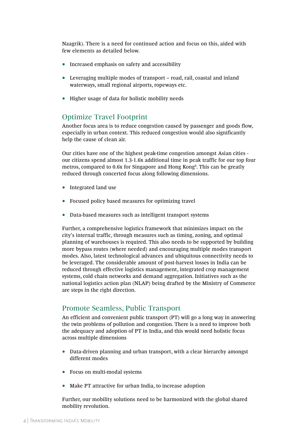Naagrik). There is a need for continued action and focus on this, aided with few elements as detailed below.

- Increased emphasis on safety and accessibility
- Leveraging multiple modes of transport road, rail, coastal and inland waterways, small regional airports, ropeways etc.
- Higher usage of data for holistic mobility needs

### Optimize Travel Footprint

Another focus area is to reduce congestion caused by passenger and goods flow, especially in urban context. This reduced congestion would also significantly help the cause of clean air.

Our cities have one of the highest peak-time congestion amongst Asian cities our citizens spend almost 1.3-1.6x additional time in peak traffic for our top four metros, compared to 0.6x for Singapore and Hong Kong<sup>6</sup>. This can be greatly reduced through concerted focus along following dimensions.

- Integrated land use
- Focused policy based measures for optimizing travel
- Data-based measures such as intelligent transport systems

Further, a comprehensive logistics framework that minimizes impact on the city's internal traffic, through measures such as timing, zoning, and optimal planning of warehouses is required. This also needs to be supported by building more bypass routes (where needed) and encouraging multiple modes transport modes. Also, latest technological advances and ubiquitous connectivity needs to be leveraged. The considerable amount of post-harvest losses in India can be reduced through effective logistics management, integrated crop management systems, cold chain networks and demand aggregation. Initiatives such as the national logistics action plan (NLAP) being drafted by the Ministry of Commerce are steps in the right direction.

### Promote Seamless, Public Transport

An efficient and convenient public transport (PT) will go a long way in answering the twin problems of pollution and congestion. There is a need to improve both the adequacy and adoption of PT in India, and this would need holistic focus across multiple dimensions

- Data-driven planning and urban transport, with a clear hierarchy amongst different modes
- Focus on multi-modal systems
- Make PT attractive for urban India, to increase adoption

Further, our mobility solutions need to be harmonized with the global shared mobility revolution.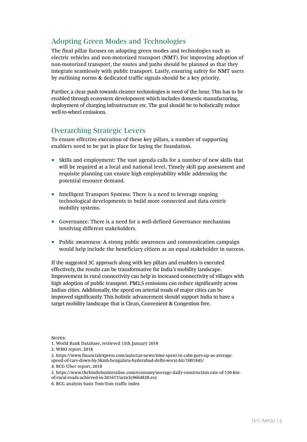# Adopting Green Modes and Technologies

The final pillar focuses on adopting green modes and technologies such as electric vehicles and non-motorized transport (NMT). For improving adoption of non-motorized transport, the routes and paths should be planned so that they integrate seamlessly with public transport. Lastly, ensuring safety for NMT users by outlining norms & dedicated traffic signals should be a key priority.

Further, a clear push towards cleaner technologies is need of the hour. This has to be enabled through ecosystem development which includes domestic manufacturing, deployment of charging infrastructure etc. The goal should be to holistically reduce well-to-wheel emissions.

# Overarching Strategic Levers

To ensure effective execution of these key pillars, a number of supporting enablers need to be put in place for laying the foundation.

- Skills and employment: The vast agenda calls for a number of new skills that will be required at a local and national level. Timely skill gap assessment and requisite planning can ensure high employability while addressing the potential resource demand.
- Intelligent Transport Systems: There is a need to leverage ongoing technological developments to build more connected and data centric mobility systems.
- Governance: There is a need for a well-defined Governance mechanism involving different stakeholders.
- Public awareness: A strong public awareness and communication campaign would help include the beneficiary citizen as an equal stakeholder in success.

If the suggested 3C approach along with key pillars and enablers is executed effectively, the results can be transformative for India's mobility landscape. Improvement in rural connectivity can help in increased connectivity of villages with high adoption of public transport. PM2.5 emissions can reduce significantly across Indian cities. Additionally, the speed on arterial roads of major cities can be improved significantly. This holistic advancement should support India to have a target mobility landscape that is Clean, Convenient & Congestion free.

NOTES:

2. WHO report, 2018

- of-rural-roads-achieved-in-201617/article9664838.ece
- 6. BCG analysis basis Tom-Tom traffic index

<sup>1.</sup> World Bank Database, retrieved 15th January 2018

<sup>3.</sup> https://www.financialexpress.com/auto/car-news/time-spent-in-cabs-goes-up-as-averagespeed-of-cars-down-by-3kmh-bengaluru-hyderabad-delhi-worst-hit/1001845/

<sup>4.</sup> BCG Uber report, 2018

<sup>5.</sup> https://www.thehindubusinessline.com/economy/average-daily-construction-rate-of-130-km-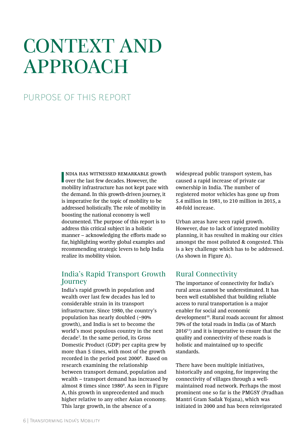# CONTEXT AND APPROACH

# PURPOSE OF THIS REPORT

**II** NDIA HAS WITNESSED REMARKABLE grower the last few decades. However, the ndia has witnessed remarkable growth mobility infrastructure has not kept pace with the demand. In this growth-driven journey, it is imperative for the topic of mobility to be addressed holistically. The role of mobility in boosting the national economy is well documented. The purpose of this report is to address this critical subject in a holistic manner – acknowledging the efforts made so far, highlighting worthy global examples and recommending strategic levers to help India realize its mobility vision.

### India's Rapid Transport Growth Journey

India's rapid growth in population and wealth over last few decades has led to considerable strain in its transport infrastructure. Since 1980, the country's population has nearly doubled (~90% growth), and India is set to become the world's most populous country in the next decade7 . In the same period, its Gross Domestic Product (GDP) per capita grew by more than 5 times, with most of the growth recorded in the period post 2000<sup>8</sup>. Based on research examining the relationship between transport demand, population and wealth – transport demand has increased by almost 8 times since 1980<sup>9</sup>. As seen in Figure A, this growth in unprecedented and much higher relative to any other Asian economy. This large growth, in the absence of a

widespread public transport system, has caused a rapid increase of private car ownership in India. The number of registered motor vehicles has gone up from 5.4 million in 1981, to 210 million in 2015, a 40-fold increase.

Urban areas have seen rapid growth. However, due to lack of integrated mobility planning, it has resulted in making our cities amongst the most polluted & congested. This is a key challenge which has to be addressed. (As shown in Figure A).

# Rural Connectivity

The importance of connectivity for India's rural areas cannot be underestimated. It has been well established that building reliable access to rural transportation is a major enabler for social and economic development<sup>10</sup>. Rural roads account for almost 70% of the total roads in India (as of March  $2016<sup>11</sup>$  and it is imperative to ensure that the quality and connectivity of these roads is holistic and maintained up to specific standards.

There have been multiple initiatives, historically and ongoing, for improving the connectivity of villages through a wellmaintained road network. Perhaps the most prominent one so far is the PMGSY (Pradhan Mantri Gram Sadak Yojana), which was initiated in 2000 and has been reinvigorated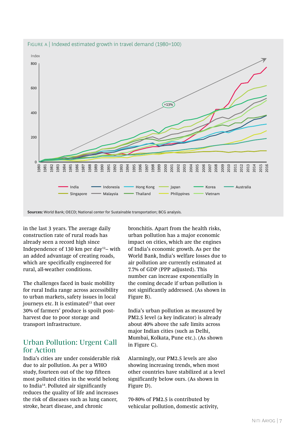

in the last 3 years. The average daily construction rate of rural roads has already seen a record high since Independence of 130 km per day<sup>12</sup>– with an added advantage of creating roads, which are specifically engineered for rural, all-weather conditions.

The challenges faced in basic mobility for rural India range across accessibility to urban markets, safety issues in local journeys etc. It is estimated<sup>13</sup> that over 30% of farmers' produce is spoilt postharvest due to poor storage and transport infrastructure.

# Urban Pollution: Urgent Call for Action

India's cities are under considerable risk due to air pollution. As per a WHO study, fourteen out of the top fifteen most polluted cities in the world belong to India14. Polluted air significantly reduces the quality of life and increases the risk of diseases such as lung cancer, stroke, heart disease, and chronic

bronchitis. Apart from the health risks, urban pollution has a major economic impact on cities, which are the engines of India's economic growth. As per the World Bank, India's welfare losses due to air pollution are currently estimated at 7.7% of GDP (PPP adjusted). This number can increase exponentially in the coming decade if urban pollution is not significantly addressed. (As shown in Figure B).

India's urban pollution as measured by PM2.5 level (a key indicator) is already about 40% above the safe limits across major Indian cities (such as Delhi, Mumbai, Kolkata, Pune etc.). (As shown in Figure C).

Alarmingly, our PM2.5 levels are also showing increasing trends, when most other countries have stabilized at a level significantly below ours. (As shown in Figure D).

70-80% of PM2.5 is contributed by vehicular pollution, domestic activity,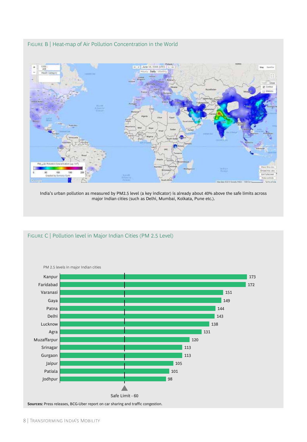FIGURE B | Heat-map of Air Pollution Concentration in the World



India's urban pollution as measured by PM2.5 level (a key indicator) is already about 40% above the safe limits across major Indian cities (such as Delhi, Mumbai, Kolkata, Pune etc.).



### FIGURE C | Pollution level in Major Indian Cities (PM 2.5 Level)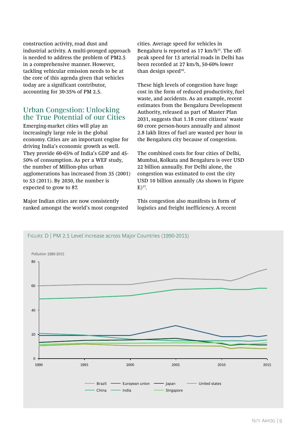construction activity, road dust and industrial activity. A multi-pronged approach is needed to address the problem of PM2.5 in a comprehensive manner. However, tackling vehicular emission needs to be at the core of this agenda given that vehicles today are a significant contributor, accounting for 30-35% of PM 2.5.

### Urban Congestion: Unlocking the True Potential of our Cities

Emerging-market cities will play an increasingly large role in the global economy. Cities are an important engine for driving India's economic growth as well. They provide 60-65% of India's GDP and 45- 50% of consumption. As per a WEF study, the number of Million-plus urban agglomerations has increased from 35 (2001) to 53 (2011). By 2030, the number is expected to grow to 87.

Major Indian cities are now consistently ranked amongst the world's most congested cities. Average speed for vehicles in Bengaluru is reported as  $17 \text{ km/h}^{15}$ . The offpeak speed for 13 arterial roads in Delhi has been recorded at 27 km/h, 50-60% lower than design speed $16$ .

These high levels of congestion have huge cost in the form of reduced productivity, fuel waste, and accidents. As an example, recent estimates from the Bengaluru Development Authority, released as part of Master Plan 2031, suggests that 1.18 crore citizens' waste 60 crore person-hours annually and almost 2.8 lakh litres of fuel are wasted per hour in the Bengaluru city because of congestion.

The combined costs for four cities of Delhi, Mumbai, Kolkata and Bengaluru is over USD 22 billion annually. For Delhi alone, the congestion was estimated to cost the city USD 10 billion annually (As shown in Figure  $E)^{17}$ .

This congestion also manifests in form of logistics and freight inefficiency. A recent



### FIGURE D | PM 2.5 Level increase across Major Countries (1990-2015)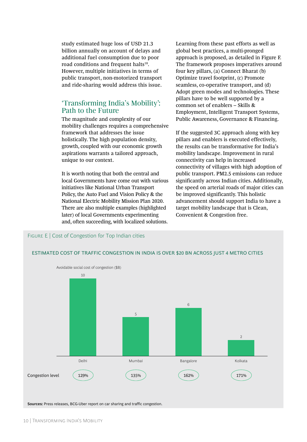study estimated huge loss of USD 21.3 billion annually on account of delays and additional fuel consumption due to poor road conditions and frequent halts<sup>18</sup>. However, multiple initiatives in terms of public transport, non-motorized transport and ride-sharing would address this issue.

# 'Transforming India's Mobility': Path to the Future

The magnitude and complexity of our mobility challenges requires a comprehensive framework that addresses the issue holistically. The high population density, growth, coupled with our economic growth aspirations warrants a tailored approach, unique to our context.

It is worth noting that both the central and local Governments have come out with various initiatives like National Urban Transport Policy, the Auto Fuel and Vision Policy & the National Electric Mobility Mission Plan 2020. There are also multiple examples (highlighted later) of local Governments experimenting and, often succeeding, with localized solutions.

FIGURE E | Cost of Congestion for Top Indian cities

Learning from these past efforts as well as global best practices, a multi-pronged approach is proposed, as detailed in Figure F. The framework proposes imperatives around four key pillars, (a) Connect Bharat (b) Optimize travel footprint, (c) Promote seamless, co-operative transport, and (d) Adopt green modes and technologies. These pillars have to be well supported by a common set of enablers – Skills & Employment, Intelligent Transport Systems, Public Awareness, Governance & Financing.

If the suggested 3C approach along with key pillars and enablers is executed effectively, the results can be transformative for India's mobility landscape. Improvement in rural connectivity can help in increased connectivity of villages with high adoption of public transport. PM2.5 emissions can reduce significantly across Indian cities. Additionally, the speed on arterial roads of major cities can be improved significantly. This holistic advancement should support India to have a target mobility landscape that is Clean, Convenient & Congestion free.



#### ESTIMATED COST OF TRAFFIC CONGESTION IN INDIA IS OVER \$20 BN ACROSS JUST 4 METRO CITIES

**Sources:** Press releases, BCG-Uber report on car sharing and traffic congestion.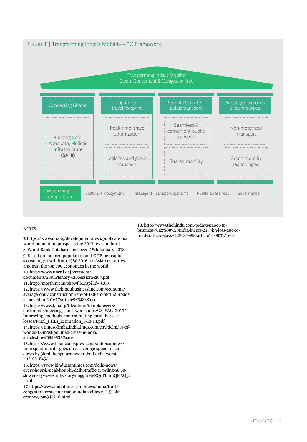

#### NOTES:

7. https://www.un.org/development/desa/publications/ world-population-prospects-the-2017-revision.html

8. World Bank Database, retrieved 15th January 2018 9. Based on indexed population and GDP per capita (constant) growth from 1980-2016 for Asian countries amongst the top 100 economies in the world 10. http://www.uncrd.or.jp/content/

documents/5081Plenary%20Session%204.pdf

11. http://morth.nic.in/showfile.asp?lid=3100

12. https://www.thehindubusinessline.com/economy/ average-daily-construction-rate-of-130-km-of-rural-roadsachieved-in-201617/article9664838.ece

13. http://www.fao.org/fileadmin/templates/ess/ documents/meetings\_and\_workshops/GS\_SAC\_2013/ Improving\_methods\_for\_estimating\_post\_harvest\_ losses/Final\_PHLs\_Estimation\_6-13-13.pdf

14. https://timesofindia.indiatimes.com/city/delhi/14-ofworlds-15-most-polluted-cities-in-india/ articleshow/63993356.cms

15. https://www.financialexpress.com/auto/car-news/ time-spent-in-cabs-goes-up-as-average-speed-of-carsdown-by-3kmh-bengaluru-hyderabad-delhi-worsthit/1001845/

16. https://www.hindustantimes.com/delhi-news/ every-hour-is-peak-hour-in-delhi-traffic-crawling-50-60 slower-says-cse-study/story-imggLneVZQuFhnmQFl5OjJ. html

17. https://www.indiatimes.com/news/india/trafficcongestion-costs-four-major-indian-cities-rs-1-5-lakhcrore-a-year-344216.html

18. http://www.thehindu.com/todays-paper/tpbusiness/%E2%80%98India-incurs-21.3-bn-loss-due-toroad-traffic-delays%E2%80%99/article14390721.ece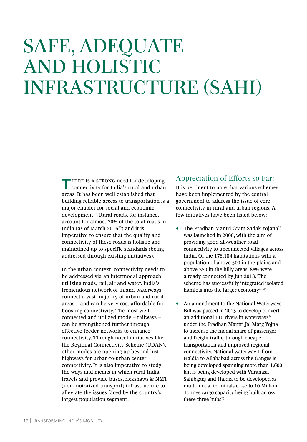# SAFE, ADEQUATE AND HOLISTIC INFRASTRUCTURE (SAHI)

**THERE IS A STRONG need for developing** connectivity for India's rural and urban areas. It has been well established that building reliable access to transportation is a major enabler for social and economic development<sup>19</sup>. Rural roads, for instance, account for almost 70% of the total roads in India (as of March 2016 $20$ ) and it is imperative to ensure that the quality and connectivity of these roads is holistic and maintained up to specific standards (being addressed through existing initiatives).

In the urban context, connectivity needs to be addressed via an intermodal approach utilizing roads, rail, air and water. India's tremendous network of inland waterways connect a vast majority of urban and rural areas – and can be very cost affordable for boosting connectivity. The most well connected and utilized mode – railways – can be strengthened further through effective feeder networks to enhance connectivity. Through novel initiatives like the Regional Connectivity Scheme (UDAN), other modes are opening up beyond just highways for urban-to-urban center connectivity. It is also imperative to study the ways and means in which rural India travels and provide buses, rickshaws & NMT (non-motorized transport) infrastructure to alleviate the issues faced by the country's largest population segment.

### Appreciation of Efforts so Far:

It is pertinent to note that various schemes have been implemented by the central government to address the issue of core connectivity in rural and urban regions. A few initiatives have been listed below:

- The Pradhan Mantri Gram Sadak Yojana<sup>21</sup> was launched in 2000, with the aim of providing good all-weather road connectivity to unconnected villages across India. Of the 178,184 habitations with a population of above 500 in the plains and above 250 in the hilly areas, 88% were already connected by Jun 2018. The scheme has successfully integrated isolated hamlets into the larger economy<sup>22 23.</sup>
- An amendment to the National Waterways Bill was passed in 2015 to develop convert an additional 110 rivers in waterways<sup>24</sup> under the Pradhan Mantri Jal Marg Yojna to increase the modal share of passenger and freight traffic, through cheaper transportation and improved regional connectivity. National waterway-I, from Haldia to Allahabad across the Ganges is being developed spanning more than 1,600 km is being developed with Varanasi, Sahibganj and Haldia to be developed as multi-modal terminals close to 10 Million Tonnes cargo capacity being built across these three hubs<sup>25</sup>.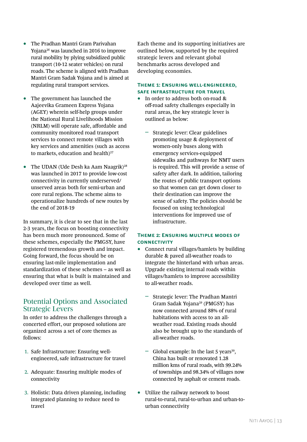- The Pradhan Mantri Gram Parivahan Yojana26 was launched in 2016 to improve rural mobility by plying subsidized public transport (10-12 seater vehicles) on rural roads. The scheme is aligned with Pradhan Mantri Gram Sadak Yojana and is aimed at regulating rural transport services.
- The government has launched the Aajeevika Grameen Express Yojana (AGEY) wherein self-help groups under the National Rural Livelihoods Mission (NRLM) will operate safe, affordable and community monitored road transport services to connect remote villages with key services and amenities (such as access to markets, education and health) $27$
- The UDAN (Ude Desh ka Aam Naagrik)<sup>28</sup> was launched in 2017 to provide low-cost connectivity in currently underserved/ unserved areas both for semi-urban and core rural regions. The scheme aims to operationalize hundreds of new routes by the end of 2018-19

In summary, it is clear to see that in the last 2-3 years, the focus on boosting connectivity has been much more pronounced. Some of these schemes, especially the PMGSY, have registered tremendous growth and impact. Going forward, the focus should be on ensuring last-mile implementation and standardization of these schemes – as well as ensuring that what is built is maintained and developed over time as well.

# Potential Options and Associated Strategic Levers

In order to address the challenges through a concerted effort, our proposed solutions are organized across a set of core themes as follows:

- 1. Safe Infrastructure: Ensuring wellengineered, safe infrastructure for travel
- 2. Adequate: Ensuring multiple modes of connectivity
- 3. Holistic: Data driven planning, including integrated planning to reduce need to travel

Each theme and its supporting initiatives are outlined below, supported by the required strategic levers and relevant global benchmarks across developed and developing economies.

#### **Theme 1: Ensuring well-engineered, safe infrastructure for travel**

- In order to address both on-road & off-road safety challenges especially in rural areas, the key strategic lever is outlined as below:
	- ǟ Strategic lever: Clear guidelines promoting usage & deployment of women-only buses along with emergency services-equipped sidewalks and pathways for NMT users is required. This will provide a sense of safety after dark. In addition, tailoring the routes of public transport options so that women can get down closer to their destination can improve the sense of safety. The policies should be focused on using technological interventions for improved use of infrastructure.

### **Theme 2: Ensuring multiple modes of CONNECTIVITY**

- Connect rural villages/hamlets by building durable & paved all-weather roads to integrate the hinterland with urban areas. Upgrade existing internal roads within villages/hamlets to improve accessibility to all-weather roads.
	- ǟ Strategic lever: The Pradhan Mantri Gram Sadak Yojana29 (PMGSY) has now connected around 88% of rural habitations with access to an allweather road. Existing roads should also be brought up to the standards of all-weather roads.
	- Global example: In the last 5 years<sup>30</sup>, China has built or renovated 1.28 million kms of rural roads, with 99.24% of townships and 98.34% of villages now connected by asphalt or cement roads.
- Utilize the railway network to boost rural-to-rural, rural-to-urban and urban-tourban connectivity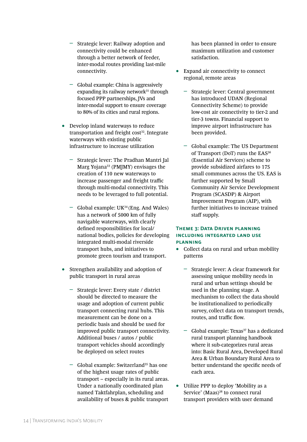- ǟ Strategic lever: Railway adoption and connectivity could be enhanced through a better network of feeder, inter-modal routes providing last-mile connectivity.
- ǟ Global example: China is aggressively expanding its railway network $31$  through focused PPP partnerships, JVs and inter-modal support to ensure coverage to 80% of its cities and rural regions.
- Develop inland waterways to reduce transportation and freight  $cost<sup>32</sup>$ . Integrate waterways with existing public infrastructure to increase utilization
	- ǟ Strategic lever: The Pradhan Mantri Jal Marg Yojana<sup>33</sup> (PMJMY) envisages the creation of 110 new waterways to increase passenger and freight traffic through multi-modal connectivity. This needs to be leveraged to full potential.
	- $\sim$  Global example: UK<sup>34</sup> (Eng. And Wales) has a network of 5000 km of fully navigable waterways, with clearly defined responsibilities for local/ national bodies, policies for developing integrated multi-modal riverside transport hubs, and initiatives to promote green tourism and transport.
- Strengthen availability and adoption of public transport in rural areas
	- ǟ Strategic lever: Every state / district should be directed to measure the usage and adoption of current public transport connecting rural hubs. This measurement can be done on a periodic basis and should be used for improved public transport connectivity. Additional buses / autos / public transport vehicles should accordingly be deployed on select routes
	- Global example: Switzerland<sup>35</sup> has one of the highest usage rates of public transport – especially in its rural areas. Under a nationally coordinated plan named Taktfahrplan, scheduling and availability of buses & public transport

has been planned in order to ensure maximum utilization and customer satisfaction.

- Expand air connectivity to connect regional, remote areas
	- ǟ Strategic lever: Central government has introduced UDAN (Regional Connectivity Scheme) to provide low-cost air connectivity to tier-2 and tier-3 towns. Financial support to improve airport infrastructure has been provided.
	- ǟ Global example: The US Department of Transport (DoT) runs the EAS<sup>36</sup> (Essential Air Services) scheme to provide subsidized airfares to 175 small communes across the US. EAS is further supported by Small Community Air Service Development Program (SCASDP) & Airport Improvement Program (AIP), with further initiatives to increase trained staff supply.

### **Theme 3: Data Driven planning including integrated land use planning**

- Collect data on rural and urban mobility patterns
	- ǟ Strategic lever: A clear framework for assessing unique mobility needs in rural and urban settings should be used in the planning stage. A mechanism to collect the data should be institutionalized to periodically survey, collect data on transport trends, routes, and traffic flow.
	- Global example: Texas<sup>37</sup> has a dedicated rural transport planning handbook where it sub-categorizes rural areas into: Basic Rural Area, Developed Rural Area & Urban Boundary Rural Area to better understand the specific needs of each area.
- Utilize PPP to deploy 'Mobility as a Service' (Maas)<sup>38</sup> to connect rural transport providers with user demand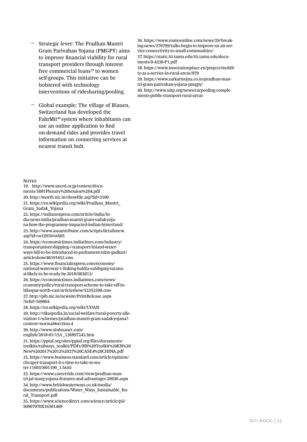- Strategic lever: The Pradhan Mantri Gram Parivahan Yojana (PMGPY) aims to improve financial viability for rural transport providers through interest free commercial loans<sup>39</sup> to women self-groups. This initiative can be bolstered with technology interventions of ridesharing/pooling.
- Global example: The village of Blauen, Switzerland has developed the FahrMit<sup>40</sup> system where inhabitants can use an online application to find on-demand rides and provides travel information on connecting services at nearest transit hub.

NOTES:

19. http://www.uncrd.or.jp/content/documents/5081Plenary%20Session%204.pdf 20. http://morth.nic.in/showfile.asp?lid=3100 21. https://en.wikipedia.org/wiki/Pradhan\_Mantri\_ Gram\_Sadak\_Yojana 22. https://indianexpress.com/article/india/india-news-india/pradhan-mantri-gram-sadak-yojana-how-the-programme-impacted-indian-hinterland/ 23. http://www.assamtribune.com/scripts/detailsnew. asp?id=oct2910/oth05 24. https://economictimes.indiatimes.com/industry/ transportation/shipping-/-transport/inland-waterways-bill-to-be-introduced-in-parliament-nitin-gadkari/ articleshow/46191653.cms 25. https://www.financialexpress.com/economy/ national-waterway-1-linking-haldia-sahibganj-varanasi-likely-to-be-ready-by-2018/603613/ 26. https://economictimes.indiatimes.com/news/ economy/policy/rural-transport-scheme-to-take-off-inbilaspur-north-east/articleshow/52352598.cms 27. http://pib.nic.in/newsite/PrintRelease.aspx- ?relid=169804 28. https://en.wikipedia.org/wiki/UDAN 29. http://vikaspedia.in/social-welfare/rural-poverty-alleviation-1/schemes/pradhan-mantri-gram-sadak-yojana? content=normal#section-4 30. http://www.xinhuanet.com/ english/2018-01/15/c\_136897242.htm 31. https://ppiaf.org/sites/ppiaf.org/files/documents/ toolkits/railways\_toolkit/PDFs/RR%20Toolkit%20EN%20 New%202017%2012%2027%20CASE4%20CHINA.pdf 32. https://www.business-standard.com/article/opinion/ cheaper-transport-it-s-time-to-take-to-water-116031601190\_1.html 33. https://www.careerride.com/view/pradhan-mantri-jal-marg-yojana-features-and-advantages-20930.aspx

34. http://www.britishwaterways.co.uk/media/ documents/publications/Water\_Ways\_Sustainable\_Rural\_Transport.pdf

35. https://www.sciencedirect.com/science/article/pii/ S0967070X16301469

36. https://www.routesonline.com/news/29/breaking-news/270799/talks-begin-to-improve-us-air-service-connectivity-to-small-communities/ 37. https://static.tti.tamu.edu/tti.tamu.edu/documents/0-4230-P1.pdf 38. https://www.innovationplace.eu/project/mobility-as-a-service-in-rural-areas/879 39. https://www.sarkariyojna.co.in/pradhan-man-

tri-gram-parivahan-yojana-pmgpy/

40. http://www.uitp.org/news/carpooling-complements-public-transport-rural-areas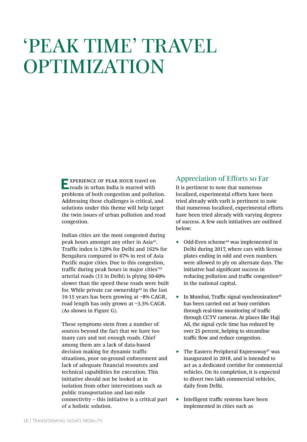# 'PEAK TIME' TRAVEL OPTIMIZATION

**EXPERIENCE OF PEAK HOUR travel on** roads in urban India is marred with problems of both congestion and pollution. Addressing these challenges is critical, and solutions under this theme will help target the twin issues of urban pollution and road congestion.

Indian cities are the most congested during peak hours amongst any other in Asia41. Traffic index is 129% for Delhi and 162% for Bengaluru compared to 67% in rest of Asia Pacific major cities. Due to this congestion, traffic during peak hours in major cities'42 arterial roads (13 in Delhi) is plying 50-60% slower than the speed these roads were built for. While private car ownership $43$  in the last 10-15 years has been growing at ~8% CAGR, road length has only grown at ~3.5% CAGR. (As shown in Figure G).

These symptoms stem from a number of sources beyond the fact that we have too many cars and not enough roads. Chief among them are a lack of data-based decision making for dynamic traffic situations, poor on-ground enforcement and lack of adequate financial resources and technical capabilities for execution. This initiative should not be looked at in isolation from other interventions such as public transportation and last-mile connectivity – this initiative is a critical part of a holistic solution.

# Appreciation of Efforts so Far

It is pertinent to note that numerous localized, experimental efforts have been tried already with varIt is pertinent to note that numerous localized, experimental efforts have been tried already with varying degrees of success. A few such initiatives are outlined below:

- Odd-Even scheme<sup>44</sup> was implemented in Delhi during 2017, where cars with license plates ending in odd and even numbers were allowed to ply on alternate days. The initiative had significant success in reducing pollution and traffic congestion<sup>45</sup> in the national capital.
- In Mumbai, Traffic signal synchronization<sup>46</sup> has been carried out at busy corridors through real-time monitoring of traffic through CCTV cameras. At places like Haji Ali, the signal cycle time has reduced by over 25 percent, helping to streamline traffic flow and reduce congestion.
- The Eastern Peripheral Expressway<sup>47</sup> was inaugurated in 2018, and is intended to act as a dedicated corridor for commercial vehicles. On its completion, it is expected to divert two lakh commercial vehicles, daily from Delhi.
- Intelligent traffic systems have been implemented in cities such as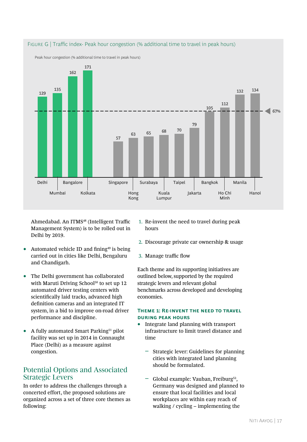

Ahmedabad. An ITMS<sup>48</sup> (Intelligent Traffic Management System) is to be rolled out in Delhi by 2019.

- Automated vehicle ID and fining<sup>49</sup> is being carried out in cities like Delhi, Bengaluru and Chandigarh.
- The Delhi government has collaborated with Maruti Driving School<sup>50</sup> to set up 12 automated driver testing centers with scientifically laid tracks, advanced high definition cameras and an integrated IT system, in a bid to improve on-road driver performance and discipline.
- A fully automated Smart Parking<sup>51</sup> pilot facility was set up in 2014 in Connaught Place (Delhi) as a measure against congestion.

# Potential Options and Associated Strategic Levers

In order to address the challenges through a concerted effort, the proposed solutions are organized across a set of three core themes as following:

- 1. Re-invent the need to travel during peak hours
- 2. Discourage private car ownership & usage
- 3. Manage traffic flow

Each theme and its supporting initiatives are outlined below, supported by the required strategic levers and relevant global benchmarks across developed and developing economies.

### **Theme 1: Re-invent the need to travel during peak hours**

- Integrate land planning with transport infrastructure to limit travel distance and time
	- ǟ Strategic lever: Guidelines for planning cities with integrated land planning should be formulated.
	- Global example: Vauban, Freiburg<sup>52</sup>, Germany was designed and planned to ensure that local facilities and local workplaces are within easy reach of walking / cycling – implementing the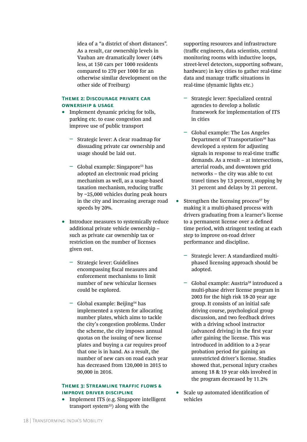idea of a "a district of short distances". As a result, car ownership levels in Vauban are dramatically lower (44% less, at 150 cars per 1000 residents compared to 270 per 1000 for an otherwise similar development on the other side of Freiburg)

#### **Theme 2: Discourage private car ownership & usage**

- Implement dynamic pricing for tolls, parking etc. to ease congestion and improve use of public transport
	- ǟ Strategic lever: A clear roadmap for dissuading private car ownership and usage should be laid out.
	- $-$  Global example: Singapore<sup>53</sup> has adopted an electronic road pricing mechanism as well, as a usage-based taxation mechanism, reducing traffic by ~25,000 vehicles during peak hours in the city and increasing average road speeds by 20%.
- Introduce measures to systemically reduce additional private vehicle ownership – such as private car ownership tax or restriction on the number of licenses given out.
	- ǟ Strategic lever: Guidelines encompassing fiscal measures and enforcement mechanisms to limit number of new vehicular licenses could be explored.
	- Global example: Beijing<sup>54</sup> has implemented a system for allocating number plates, which aims to tackle the city's congestion problems. Under the scheme, the city imposes annual quotas on the issuing of new license plates and buying a car requires proof that one is in hand. As a result, the number of new cars on road each year has decreased from 120,000 in 2015 to 90,000 in 2016.

### **Theme 3: Streamline traffic flows & improve driver discipline**

• Implement ITS (e.g. Singapore intelligent transport system<sup>55</sup>) along with the

supporting resources and infrastructure (traffic engineers, data scientists, central monitoring rooms with inductive loops, street-level detectors, supporting software, hardware) in key cities to gather real-time data and manage traffic situations in real-time (dynamic lights etc.)

- ǟ Strategic lever: Specialized central agencies to develop a holistic framework for implementation of ITS in cities
- ǟ Global example: The Los Angeles Department of Transportation<sup>56</sup> has developed a system for adjusting signals in response to real-time traffic demands. As a result – at intersections, arterial roads, and downtown grid networks – the city was able to cut travel times by 13 percent, stopping by 31 percent and delays by 21 percent.
- Strengthen the licensing process<sup>57</sup> by making it a multi-phased process with drivers graduating from a learner's license to a permanent license over a defined time period, with stringent testing at each step to improve on-road driver performance and discipline.
	- ǟ Strategic lever: A standardized multiphased licensing approach should be adopted.
	- Global example: Austria<sup>58</sup> introduced a multi-phase driver license program in 2003 for the high risk 18-20 year age group. It consists of an initial safe driving course, psychological group discussion, and two feedback drives with a driving school instructor (advanced driving) in the first year after gaining the license. This was introduced in addition to a 2-year probation period for gaining an unrestricted driver's license. Studies showed that, personal injury crashes among 18 & 19 year olds involved in the program decreased by 11.2%
- Scale up automated identification of vehicles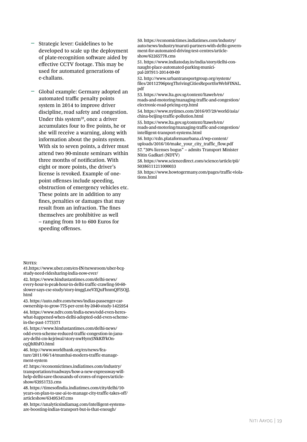- Strategic lever: Guidelines to be developed to scale up the deployment of plate-recognition software aided by effective CCTV footage. This may be used for automated generations of e-challans.
- Global example: Germany adopted an automated traffic penalty points system in 2014 to improve driver discipline, road safety and congestion. Under this system<sup>59</sup>, once a driver accumulates four to five points, he or she will receive a warning, along with information about the points system. With six to seven points, a driver must attend two 90-minute seminars within three months of notification. With eight or more points, the driver's license is revoked. Example of onepoint offenses include speeding, obstruction of emergency vehicles etc. These points are in addition to any fines, penalties or damages that may result from an infraction. The fines themselves are prohibitive as well – ranging from 10 to 600 Euros for speeding offenses.

NOTES:

41.https://www.uber.com/en-IN/newsroom/uber-bcgstudy-need-ridesharing-india-now-ever/

42. https://www.hindustantimes.com/delhi-news/ every-hour-is-peak-hour-in-delhi-traffic-crawling-50-60 slower-says-cse-study/story-imggLneVZQuFhnmQFl5OjJ. html

43. https://auto.ndtv.com/news/indias-passenger-carownership-to-grow-775-per-cent-by-2040-study-1425954 44. https://www.ndtv.com/india-news/odd-even-heres-

what-happened-when-delhi-adopted-odd-even-schemein-the-past-1773371 45. https://www.hindustantimes.com/delhi-news/ odd-even-scheme-reduced-traffic-congestion-in-janu-

ary-delhi-cm-kejriwal/story-nwHym5NkKfFkOncqQhRhFO.html

46. http://www.worldbank.org/en/news/feature/2011/06/14/mumbai-modern-traffic-management-system

47. https://economictimes.indiatimes.com/industry/ transportation/roadways/how-a-new-expressway-willhelp-delhi-save-thousands-of-crores-of-rupees/articleshow/63951733.cms

48. https://timesofindia.indiatimes.com/city/delhi/10 years-on-plan-to-use-ai-to-manage-city-traffic-takes-off/ articleshow/63495347.cms

49. https://analyticsindiamag.com/intelligent-systemsare-boosting-indias-transport-but-is-that-enough/

50. https://economictimes.indiatimes.com/industry/ auto/news/industry/maruti-partners-with-delhi-government-for-automated-driving-test-centres/articleshow/62265778.cms

51. https://www.indiatoday.in/india/story/delhi-connaught-place-automated-parking-municipal-207911-2014-09-09

52. http://www.urbantransportgroup.org/system/ files/20112706ptegThrivingCitiesReportforWebFINAL. pdf

53. https://www.lta.gov.sg/content/ltaweb/en/ roads-and-motoring/managing-traffic-and-congestion/ electronic-road-pricing-erp.html

54. https://www.nytimes.com/2016/07/29/world/asia/ china-beijing-traffic-pollution.html

55. https://www.lta.gov.sg/content/ltaweb/en/ roads-and-motoring/managing-traffic-and-congestion/ intelligent-transport-systems.html

56. http://cdn.plataformaurbana.cl/wp-content/ uploads/2016/10/make\_your\_city\_traffic\_flow.pdf 57. "30% licenses bogus" – admits Transport Minister Nitin Gadkari (NDTV)

58. https://www.sciencedirect.com/science/article/pii/ S0386111211000033

59. https://www.howtogermany.com/pages/traffic-violations.html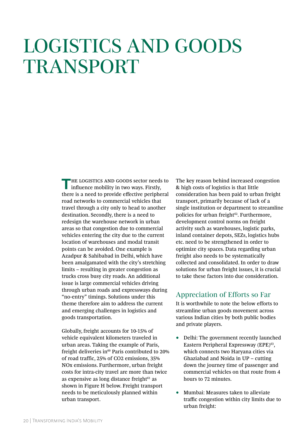# LOGISTICS AND GOODS TRANSPORT

**THE LOGISTICS AND GOODS sector needs to influence mobility in two ways. Firstly,** there is a need to provide effective peripheral road networks to commercial vehicles that travel through a city only to head to another destination. Secondly, there is a need to redesign the warehouse network in urban areas so that congestion due to commercial vehicles entering the city due to the current location of warehouses and modal transit points can be avoided. One example is Azadpur & Sahibabad in Delhi, which have been amalgamated with the city's stretching limits – resulting in greater congestion as trucks cross busy city roads. An additional issue is large commercial vehicles driving through urban roads and expressways during "no-entry" timings. Solutions under this theme therefore aim to address the current and emerging challenges in logistics and goods transportation.

Globally, freight accounts for 10-15% of vehicle equivalent kilometers traveled in urban areas. Taking the example of Paris, freight deliveries in $60$  Paris contributed to 20% of road traffic, 25% of CO2 emissions, 35% NOx emissions. Furthermore, urban freight costs for intra-city travel are more than twice as expensive as long distance freight $61$  as shown in Figure H below. Freight transport needs to be meticulously planned within urban transport.

The key reason behind increased congestion & high costs of logistics is that little consideration has been paid to urban freight transport, primarily because of lack of a single institution or department to streamline policies for urban freight<sup>62</sup>. Furthermore, development control norms on freight activity such as warehouses, logistic parks, inland container depots, SEZs, logistics hubs etc. need to be strengthened in order to optimize city spaces. Data regarding urban freight also needs to be systematically collected and consolidated. In order to draw solutions for urban freight issues, it is crucial to take these factors into due consideration.

### Appreciation of Efforts so Far

It is worthwhile to note the below efforts to streamline urban goods movement across various Indian cities by both public bodies and private players.

- Delhi: The government recently launched Eastern Peripheral Expressway (EPE)<sup>63</sup>, which connects two Haryana cities via Ghaziabad and Noida in UP – cutting down the journey time of passenger and commercial vehicles on that route from 4 hours to 72 minutes.
- Mumbai: Measures taken to alleviate traffic congestion within city limits due to urban freight: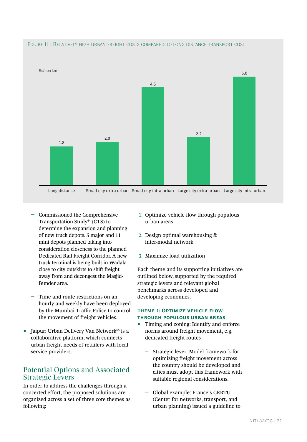

- Commissioned the Comprehensive Transportation Study<sup>64</sup> (CTS) to determine the expansion and planning of new truck depots. 5 major and 11 mini depots planned taking into consideration closeness to the planned Dedicated Rail Freight Corridor. A new truck terminal is being built in Wadala close to city outskirts to shift freight away from and decongest the Masjid-Bunder area.
- ǟ Time and route restrictions on an hourly and weekly have been deployed by the Mumbai Traffic Police to control the movement of freight vehicles.
- Jaipur: Urban Delivery Van Network<sup>65</sup> is a collaborative platform, which connects urban freight needs of retailers with local service providers.

# Potential Options and Associated Strategic Levers

In order to address the challenges through a concerted effort, the proposed solutions are organized across a set of three core themes as following:

- 1. Optimize vehicle flow through populous urban areas
- 2. Design optimal warehousing & inter-modal network
- 3. Maximize load utilization

Each theme and its supporting initiatives are outlined below, supported by the required strategic levers and relevant global benchmarks across developed and developing economies.

### **Theme 1: Optimize vehicle flow through populous urban areas**

- Timing and zoning: Identify and enforce norms around freight movement, e.g. dedicated freight routes
	- ǟ Strategic lever: Model framework for optimizing freight movement across the country should be developed and cities must adopt this framework with suitable regional considerations.
	- ǟ Global example: France's CERTU (Center for networks, transport, and urban planning) issued a guideline to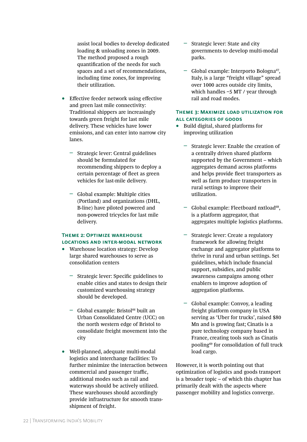assist local bodies to develop dedicated loading & unloading zones in 2009. The method proposed a rough quantification of the needs for such spaces and a set of recommendations, including time zones, for improving their utilization.

- Effective feeder network using effective and green last mile connectivity: Traditional shippers are increasingly towards green freight for last mile delivery. These vehicles have lower emissions, and can enter into narrow city lanes.
	- ǟ Strategic lever: Central guidelines should be formulated for recommending shippers to deploy a certain percentage of fleet as green vehicles for last-mile delivery.
	- ǟ Global example: Multiple cities (Portland) and organizations (DHL, B-line) have piloted powered and non-powered tricycles for last mile delivery.

### **Theme 2: Optimize warehouse locations and inter-modal network**

- Warehouse location strategy: Develop large shared warehouses to serve as consolidation centers
	- ǟ Strategic lever: Specific guidelines to enable cities and states to design their customized warehousing strategy should be developed.
	- Global example: Bristol<sup>66</sup> built an Urban Consolidated Centre (UCC) on the north western edge of Bristol to consolidate freight movement into the city
- Well-planned, adequate multi-modal logistics and interchange facilities: To further minimize the interaction between commercial and passenger traffic, additional modes such as rail and waterways should be actively utilized. These warehouses should accordingly provide infrastructure for smooth transshipment of freight.
- ǟ Strategic lever: State and city governments to develop multi-modal parks.
- Global example: Interporto Bologna<sup>67</sup>, Italy, is a large "freight village" spread over 1000 acres outside city limits, which handles  $\sim$  5 MT / year through rail and road modes.

### **Theme 3: Maximize load utilization for all categories of goods**

- Build digital, shared platforms for improving utilization
	- ǟ Strategic lever: Enable the creation of a centrally driven shared platform supported by the Government – which aggregates demand across platforms and helps provide fleet transporters as well as farm produce transporters in rural settings to improve their utilization.
	- $-$  Global example: Fleetboard nxtload<sup>68</sup>, is a platform aggregator, that aggregates multiple logistics platforms.
	- ǟ Strategic lever: Create a regulatory framework for allowing freight exchange and aggregator platforms to thrive in rural and urban settings. Set guidelines, which include financial support, subsidies, and public awareness campaigns among other enablers to improve adoption of aggregation platforms.
	- ǟ Global example: Convoy, a leading freight platform company in USA serving as 'Uber for trucks', raised \$80 Mn and is growing fast; Cinatis is a pure technology company based in France, creating tools such as Cinatis pooling69 for consolidation of full truck load cargo.

However, it is worth pointing out that optimization of logistics and goods transport is a broader topic – of which this chapter has primarily dealt with the aspects where passenger mobility and logistics converge.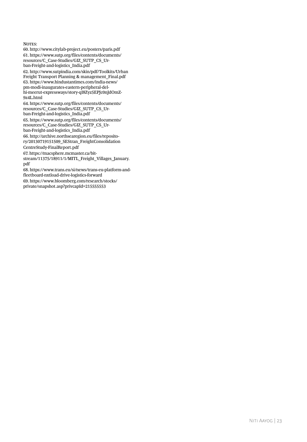NOTES:

60. http://www.citylab-project.eu/posters/paris.pdf 61. https://www.sutp.org/files/contents/documents/ resources/C\_Case-Studies/GIZ\_SUTP\_CS\_Urban-Freight-and-logistics\_India.pdf 62. http://www.sutpindia.com/skin/pdf/Toolkits/Urban Freight Transport Planning & management\_Final.pdf 63. https://www.hindustantimes.com/india-news/ pm-modi-inaugurates-eastern-peripheral-delhi-meerut-expressways/story-qI8Zyz5EPJc0nJdOmZ-9z4L.html

64. https://www.sutp.org/files/contents/documents/ resources/C\_Case-Studies/GIZ\_SUTP\_CS\_Urban-Freight-and-logistics\_India.pdf

65. https://www.sutp.org/files/contents/documents/ resources/C\_Case-Studies/GIZ\_SUTP\_CS\_Urban-Freight-and-logistics\_India.pdf 66. http://archive.northsearegion.eu/files/reposito-

ry/20130719151509\_SEStran\_FreightConsolidation CentreStudy-FinalReport.pdf

67. https://macsphere.mcmaster.ca/bit-

stream/11375/18911/1/MITL\_Freight\_Villages\_January. pdf

68. https://www.trans.eu/si/news/trans-eu-platform-andfleetboard-nxtload-drive-logistics-forward 69. https://www.bloomberg.com/research/stocks/ private/snapshot.asp?privcapId=215555553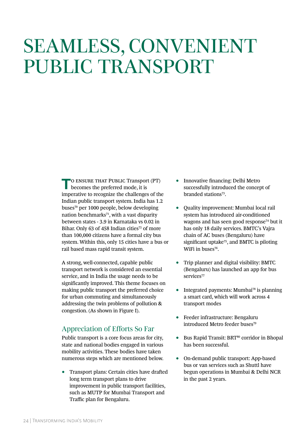# SEAMLESS, CONVENIENT PUBLIC TRANSPORT

**T**o ensure that Public Transport (PT) becomes the preferred mode, it is imperative to recognize the challenges of the Indian public transport system. India has 1.2 buses70 per 1000 people, below developing nation benchmarks<sup>71</sup>, with a vast disparity between states - 3.9 in Karnataka vs 0.02 in Bihar. Only 63 of 458 Indian cities<sup>72</sup> of more than 100,000 citizens have a formal city bus system. Within this, only 15 cities have a bus or rail based mass rapid transit system.

A strong, well-connected, capable public transport network is considered an essential service, and in India the usage needs to be significantly improved. This theme focuses on making public transport the preferred choice for urban commuting and simultaneously addressing the twin problems of pollution & congestion. (As shown in Figure I).

# Appreciation of Efforts So Far

Public transport is a core focus areas for city, state and national bodies engaged in various mobility activities. These bodies have taken numerous steps which are mentioned below.

• Transport plans: Certain cities have drafted long term transport plans to drive improvement in public transport facilities, such as MUTP for Mumbai Transport and Traffic plan for Bengaluru.

- Innovative financing: Delhi Metro successfully introduced the concept of branded stations73.
- Quality improvement: Mumbai local rail system has introduced air-conditioned wagons and has seen good response<sup>74</sup> but it has only 18 daily services. BMTC's Vajra chain of AC buses (Bengaluru) have significant uptake75, and BMTC is piloting WiFi in buses<sup>76</sup>.
- Trip planner and digital visibility: BMTC (Bengaluru) has launched an app for bus services<sup>77</sup>
- Integrated payments: Mumbai<sup>78</sup> is planning a smart card, which will work across 4 transport modes
- Feeder infrastructure: Bengaluru introduced Metro feeder buses<sup>79</sup>
- Bus Rapid Transit: BRT<sup>80</sup> corridor in Bhopal has been successful.
- On-demand public transport: App-based bus or van services such as Shuttl have begun operations in Mumbai & Delhi NCR in the past 2 years.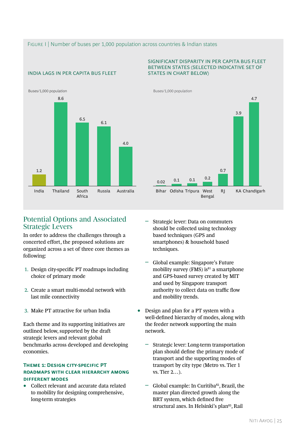### FIGURE I | Number of buses per 1,000 population across countries & Indian states

### INDIA LAGS IN PER CAPITA BUS FLEET



### Potential Options and Associated Strategic Levers

In order to address the challenges through a concerted effort, the proposed solutions are organized across a set of three core themes as following:

- 1. Design city-specific PT roadmaps including choice of primary mode
- 2. Create a smart multi-modal network with last mile connectivity
- 3. Make PT attractive for urban India

Each theme and its supporting initiatives are outlined below, supported by the draft strategic levers and relevant global benchmarks across developed and developing economies.

#### **THEME 1: DESIGN CITY-SPECIFIC PT roadmaps with clear hierarchy among different modes**

• Collect relevant and accurate data related to mobility for designing comprehensive, long-term strategies

#### SIGNIFICANT DISPARITY IN PER CAPITA BUS FLEET BETWEEN STATES (SELECTED INDICATIVE SET OF STATES IN CHART BELOW)



- ǟ Strategic lever: Data on commuters should be collected using technology based techniques (GPS and smartphones) & household based techniques.
- ǟ Global example: Singapore's Future mobility survey (FMS) is $^{81}$  a smartphone and GPS-based survey created by MIT and used by Singapore transport authority to collect data on traffic flow and mobility trends.
- Design and plan for a PT system with a well-defined hierarchy of modes, along with the feeder network supporting the main network.
	- ǟ Strategic lever: Long-term transportation plan should define the primary mode of transport and the supporting modes of transport by city type (Metro vs. Tier 1 vs. Tier 2…).
	- Global example: In Curitiba<sup>82</sup>, Brazil, the master plan directed growth along the BRT system, which defined five structural axes. In Helsinki's plan<sup>83</sup>, Rail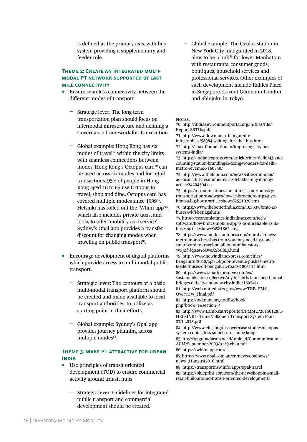is defined as the primary axis, with bus system providing a supplementary and feeder role.

### **Theme 2: Create an integrated multimodal PT network supported by last mile connectivity**

- Ensure seamless connectivity between the different modes of transport
	- ǟ Strategic lever: The long term transportation plan should focus on intermodal infrastructure and defining a Governance framework for its execution.
	- ǟ Global example: Hong Kong has six modes of travel<sup>84</sup> within the city limits with seamless connections between modes. Hong Kong's Octopus card<sup>30</sup> can be used across six modes and for retail transactions. 95% of people in Hong Kong aged 16 to 65 use Octopus to travel, shop and dine. Octopus card has covered multiple modes since 1999<sup>85</sup>. Helsinki has rolled out the 'Whim app'86, which also includes private taxis, and looks to offer 'mobility as a service'. Sydney's Opal app provides a transfer discount for changing modes when traveling on public transport<sup>87</sup>.
- Encourage development of digital platforms which provide access to multi-modal public transport.
	- ǟ Strategic lever: The contours of a basic multi-modal transport platform should be created and made available to local transport authorities, to utilize as starting point in their efforts.
	- ǟ Global example: Sydney's Opal app provides journey planning across multiple modes<sup>88</sup>.

### **Theme 3: Make PT attractive for urban India**

- Use principles of transit oriented development (TOD) to ensure commercial activity around transit hubs
	- ǟ Strategic lever: Guidelines for integrated public transport and commercial development should be created.

ǟ Global example: The Oculus station in New York City inaugurated in 2018, aims to be a hub<sup>89</sup> for lower Manhattan with restaurants, consumer goods, boutiques, household services and professional services. Other examples of such development include Raffles Place in Singapore, Covent Garden in London and Shinjuku in Tokyo.

#### NOTES:

70. http://indiaenvironmentportal.org.in/files/file/ Report SRTUs.pdf

71. http://www.downtoearth.org.in/dteinfographics/58984-waiting\_for\_the\_bus.html 72. http://shaktifoundation.in/improving-city-bussystems-india/

73. https://indianexpress.com/article/cities/delhi/43-andcounting-station-branding-is-doing-wonders-for-delhimetro-revenue-5160850/

74. http://www.thehindu.com/news/cities/mumbai/ ac-local-a-hit-in-summer-earns-6-lakh-a-day-in-may/ article24204504.ece

75. https://economictimes.indiatimes.com/industry/ transportation/roadways/low-ac-fare-more-trips-givebmtc-a-big-boost/articleshow/62551026.cms

76. https://www.thebetterindia.com/103637/bmtc-acbuses-wi-fi-benagaluru/

77. https://economictimes.indiatimes.com/tech/ software/how-bmtcs-mobile-app-is-as-unreliable-as-itsbuses/articleshow/64581862.cms

78. https://www.hindustantimes.com/mumbai-news/ metro-mono-best-bus-train-you-may-need-just-onesmart-card-to-travel-on-all-in-mumbai/story-W3JZf7iqXNYoOvoXSbCbLJ.html

79. http://www.newindianexpress.com/cities/ bengaluru/2018/apr/23/poor-revenue-pushes-metrofeeder-buses-off-bengaluru-roads-1805114.html 80. https://www.smartcitiesdive.com/ex/

sustainablecitiescollective/my-bus-brts-launched-bhopalbridges-old-city-and-new-city-india/180741/

81. http://web.mit.edu/czegras/www/TRB\_FMS\_ Overview\_Final.pdf

82. https://tod.niua.org/todfisc/book. php?book=1&section=4

83. http://www3.amb.cat/repositori/PMMU/20150128/1- HELSINKI - Tuire Valkonen Transport System Plan 27.1.2015.pdf

84. http://www.eltis.org/discover/case-studies/octopussystem-contactless-smart-cards-hong-kong 85. ftp://ftp.gunadarma.ac.id/.upload/Communication-ACM/September-2003/p129-chau.pdf 86. https://whimapp.com/ 87. https://www.opal.com.au/en/news/opalnews/ news\_31august2016.html

88. https://transportnsw.info/apps/opal-travel 89. https://blueprint.cbre.com/the-new-shopping-mallretail-built-around-transit-oriented-development/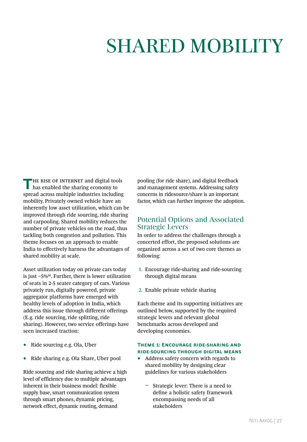# SHARED MOBILITY

**THE RISE OF INTERNET and digital tools** has enabled the sharing economy to spread across multiple industries including mobility. Privately owned vehicle have an inherently low asset utilization, which can be improved through ride sourcing, ride sharing and carpooling. Shared mobility reduces the number of private vehicles on the road, thus tackling both congestion and pollution. This theme focuses on an approach to enable India to effectively harness the advantages of shared mobility at scale.

Asset utilization today on private cars today is just ~5%90. Further, there is lower utilization of seats in 2-5 seater category of cars. Various privately run, digitally powered, private aggregator platforms have emerged with healthy levels of adoption in India, which address this issue through different offerings (E.g. ride sourcing, ride splitting, ride sharing). However, two service offerings have seen increased traction:

- Ride sourcing e.g. Ola, Uber
- Ride sharing e.g. Ola Share, Uber pool

Ride sourcing and ride sharing achieve a high level of efficiency due to multiple advantages inherent in their business model: flexible supply base, smart communication system through smart phones, dynamic pricing, network effect, dynamic routing, demand

pooling (for ride share), and digital feedback and management systems. Addressing safety concerns in ridesource/share is an important factor, which can further improve the adoption.

### Potential Options and Associated Strategic Levers

In order to address the challenges through a concerted effort, the proposed solutions are organized across a set of two core themes as following:

- 1. Encourage ride-sharing and ride-sourcing through digital means
- 2. Enable private vehicle sharing

Each theme and its supporting initiatives are outlined below, supported by the required strategic levers and relevant global benchmarks across developed and developing economies.

### **Theme 1: Encourage ride-sharing and ride-sourcing through digital means**

- Address safety concern with regards to shared mobility by designing clear guidelines for various stakeholders
	- ǟ Strategic lever: There is a need to define a holistic safety framework encompassing needs of all stakeholders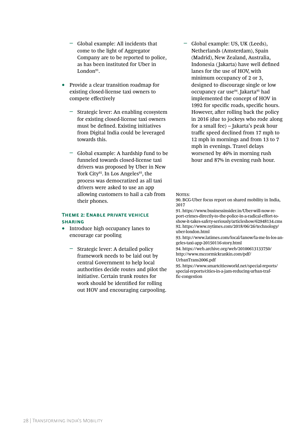- ǟ Global example: All incidents that come to the light of Aggregator Company are to be reported to police, as has been instituted for Uber in London91.
- Provide a clear transition roadmap for existing closed-license taxi owners to compete effectively
	- ǟ Strategic lever: An enabling ecosystem for existing closed-license taxi owners must be defined. Existing initiatives from Digital India could be leveraged towards this.
	- ǟ Global example: A hardship fund to be funneled towards closed-license taxi drivers was proposed by Uber in New York City<sup>92</sup>. In Los Angeles<sup>93</sup>, the process was democratized as all taxi drivers were asked to use an app allowing customers to hail a cab from their phones.

### **Theme 2: Enable private vehicle sharing**

- Introduce high occupancy lanes to encourage car pooling
	- ǟ Strategic lever: A detailed policy framework needs to be laid out by central Government to help local authorities decide routes and pilot the initiative. Certain trunk routes for work should be identified for rolling out HOV and encouraging carpooling.

ǟ Global example: US, UK (Leeds), Netherlands (Amsterdam), Spain (Madrid), New Zealand, Australia, Indonesia ( Jakarta) have well defined lanes for the use of HOV, with minimum occupancy of 2 or 3, designed to discourage single or low occupancy car use<sup>94</sup>. Jakarta<sup>95</sup> had implemented the concept of HOV in 1992 for specific roads, specific hours. However, after rolling back the policy in 2016 (due to jockeys who rode along for a small fee) – Jakarta's peak hour traffic speed declined from 17 mph to 12 mph in mornings and from 13 to 7 mph in evenings. Travel delays worsened by 46% in morning rush hour and 87% in evening rush hour.

#### NOTES<sup>.</sup>

90. BCG-Uber focus report on shared mobility in India, 2017

91. https://www.businessinsider.in/Uber-will-now-report-crimes-directly-to-the-police-in-a-radical-effort-toshow-it-takes-safety-seriously/articleshow/62948134.cms 92. https://www.nytimes.com/2018/06/26/technology/ uber-london.html

93. http://www.latimes.com/local/lanow/la-me-ln-los-angeles-taxi-app-20150116-story.html

94. https://web.archive.org/web/20100613133750/ http://www.mccormickrankin.com/pdf/

UrbanTrans2006.pdf

95. https://www.smartcitiesworld.net/special-reports/ special-reports/cities-in-a-jam-reducing-urban-traffic-congestion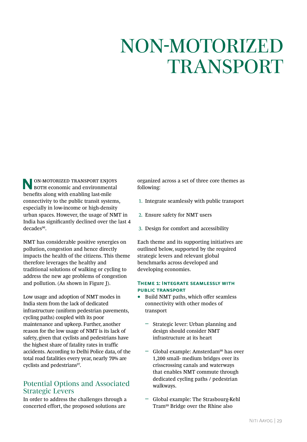# NON-MOTORIZED TRANSPORT

**NON-MOTORIZED TRANSPORT ENJOYS BOTH** economic and environmental benefits along with enabling last-mile connectivity to the public transit systems, especially in low-income or high-density urban spaces. However, the usage of NMT in India has significantly declined over the last 4 decades<sup>96</sup>.

NMT has considerable positive synergies on pollution, congestion and hence directly impacts the health of the citizens. This theme therefore leverages the healthy and traditional solutions of walking or cycling to address the new age problems of congestion and pollution. (As shown in Figure J).

Low usage and adoption of NMT modes in India stem from the lack of dedicated infrastructure (uniform pedestrian pavements, cycling paths) coupled with its poor maintenance and upkeep. Further, another reason for the low usage of NMT is its lack of safety, given that cyclists and pedestrians have the highest share of fatality rates in traffic accidents. According to Delhi Police data, of the total road fatalities every year, nearly 70% are cyclists and pedestrians<sup>97</sup>.

# Potential Options and Associated Strategic Levers

In order to address the challenges through a concerted effort, the proposed solutions are

organized across a set of three core themes as following:

- 1. Integrate seamlessly with public transport
- 2. Ensure safety for NMT users
- 3. Design for comfort and accessibility

Each theme and its supporting initiatives are outlined below, supported by the required strategic levers and relevant global benchmarks across developed and developing economies.

### **Theme 1: Integrate seamlessly with public transport**

- Build NMT paths, which offer seamless connectivity with other modes of transport
	- ǟ Strategic lever: Urban planning and design should consider NMT infrastructure at its heart
	- ǟ Global example: Amsterdam98 has over 1,200 small- medium bridges over its crisscrossing canals and waterways that enables NMT commute through dedicated cycling paths / pedestrian walkways.
	- ǟ Global example: The Strasbourg-Kehl Tram99 Bridge over the Rhine also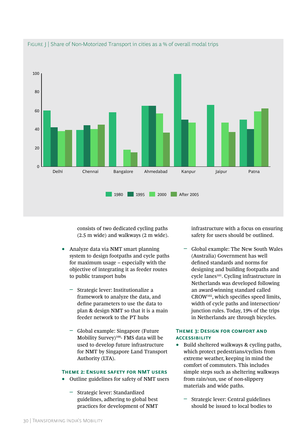

FIGURE | Share of Non-Motorized Transport in cities as a % of overall modal trips

consists of two dedicated cycling paths (2.5 m wide) and walkways (2 m wide).

- Analyze data via NMT smart planning system to design footpaths and cycle paths for maximum usage – especially with the objective of integrating it as feeder routes to public transport hubs
	- ǟ Strategic lever: Institutionalize a framework to analyze the data, and define parameters to use the data to plan & design NMT so that it is a main feeder network to the PT hubs
	- ǟ Global example: Singapore (Future Mobility Survey)100- FMS data will be used to develop future infrastructure for NMT by Singapore Land Transport Authority (LTA).

### **Theme 2: Ensure safety for NMT users**

- Outline guidelines for safety of NMT users
	- ǟ Strategic lever: Standardized guidelines, adhering to global best practices for development of NMT

infrastructure with a focus on ensuring safety for users should be outlined.

ǟ Global example: The New South Wales (Australia) Government has well defined standards and norms for designing and building footpaths and cycle lanes<sup>101</sup>. Cycling infrastructure in Netherlands was developed following an award-winning standard called CROW102, which specifies speed limits, width of cycle paths and intersection/ junction rules. Today, 19% of the trips in Netherlands are through bicycles.

### **Theme 3: Design for comfort and accessibility**

- Build sheltered walkways & cycling paths, which protect pedestrians/cyclists from extreme weather, keeping in mind the comfort of commuters. This includes simple steps such as sheltering walkways from rain/sun, use of non-slippery materials and wide paths.
	- ǟ Strategic lever: Central guidelines should be issued to local bodies to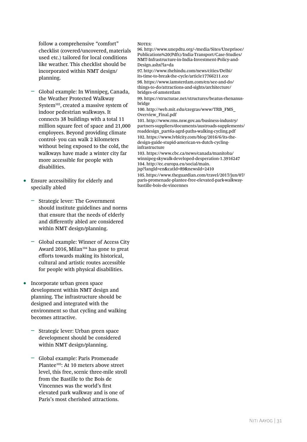follow a comprehensive "comfort" checklist (covered/uncovered, materials used etc.) tailored for local conditions like weather. This checklist should be incorporated within NMT design/ planning.

- ǟ Global example: In Winnipeg, Canada, the Weather Protected Walkway System103, created a massive system of indoor pedestrian walkways. It connects 38 buildings with a total 11 million square feet of space and 21,000 employees. Beyond providing climate control- you can walk 2 kilometers without being exposed to the cold, the walkways have made a winter city far more accessible for people with disabilities.
- Ensure accessibility for elderly and specially abled
	- ǟ Strategic lever: The Government should institute guidelines and norms that ensure that the needs of elderly and differently abled are considered within NMT design/planning.
	- Global example: Winner of Access City Award 2016, Milan<sup>104</sup> has gone to great efforts towards making its historical, cultural and artistic routes accessible for people with physical disabilities.
- Incorporate urban green space development within NMT design and planning. The infrastructure should be designed and integrated with the environment so that cycling and walking becomes attractive.
	- ǟ Strategic lever: Urban green space development should be considered within NMT design/planning.
	- ǟ Global example: Paris Promenade Plantee<sup>105</sup>: At 10 meters above street level, this free, scenic three-mile stroll from the Bastille to the Bois de Vincennes was the world's first elevated park walkway and is one of Paris's most cherished attractions.

#### NOTES<sup>.</sup>

96. http://www.unepdtu.org/-/media/Sites/Uneprisoe/ Publications%20(Pdfs)/India-Transport/Case-Studies/ NMT-Infrastructure-in-India-Investment-Policy-and-Design.ashx?la=da

97. http://www.thehindu.com/news/cities/Delhi/ its-time-to-break-the-cycle/article17766211.ece 98. https://www.iamsterdam.com/en/see-and-do/ things-to-do/attractions-and-sights/architecture/ bridges-of-amsterdam

99. https://structurae.net/structures/beatus-rhenanusbridge

100. http://web.mit.edu/czegras/www/TRB\_FMS\_ Overview\_Final.pdf

101. http://www.rms.nsw.gov.au/business-industry/ partners-suppliers/documents/austroads-supplements/ roaddesign\_part6a-agrd-paths-walking-cycling.pdf 102. https://www.lvblcity.com/blog/2016/6/its-thedesign-guide-stupid-american-vs-dutch-cyclinginfrastructure

103. https://www.cbc.ca/news/canada/manitoba/ winnipeg-skywalk-developed-desperation-1.3916247 104. http://ec.europa.eu/social/main. jsp?langId=en&catId=89&newsId=2410

105. https://www.theguardian.com/travel/2017/jun/07/ paris-promenade-plantee-free-elevated-park-walkwaybastille-bois-de-vincennes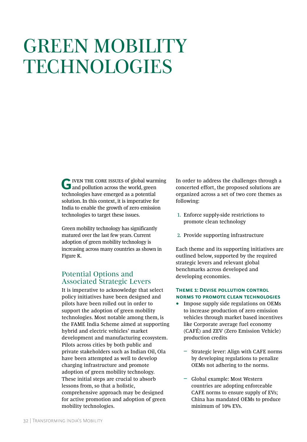# GREEN MOBILITY TECHNOLOGIES

G**IVEN THE CORE ISSUES of global warming**<br>
and pollution across the world, green technologies have emerged as a potential solution. In this context, it is imperative for India to enable the growth of zero emission technologies to target these issues.

Green mobility technology has significantly matured over the last few years. Current adoption of green mobility technology is increasing across many countries as shown in Figure K.

# Potential Options and Associated Strategic Levers

It is imperative to acknowledge that select policy initiatives have been designed and pilots have been rolled out in order to support the adoption of green mobility technologies. Most notable among them, is the FAME India Scheme aimed at supporting hybrid and electric vehicles' market development and manufacturing ecosystem. Pilots across cities by both public and private stakeholders such as Indian Oil, Ola have been attempted as well to develop charging infrastructure and promote adoption of green mobility technology. These initial steps are crucial to absorb lessons from, so that a holistic, comprehensive approach may be designed for active promotion and adoption of green mobility technologies.

In order to address the challenges through a concerted effort, the proposed solutions are organized across a set of two core themes as following:

- 1. Enforce supply-side restrictions to promote clean technology
- 2. Provide supporting infrastructure

Each theme and its supporting initiatives are outlined below, supported by the required strategic levers and relevant global benchmarks across developed and developing economies.

### **Theme 1: Devise pollution control norms to promote clean technologies**

- Impose supply side regulations on OEMs to increase production of zero emission vehicles through market based incentives like Corporate average fuel economy (CAFÉ) and ZEV (Zero Emission Vehicle) production credits
	- ǟ Strategic lever: Align with CAFE norms by developing regulations to penalize OEMs not adhering to the norms.
	- ǟ Global example: Most Western countries are adopting enforceable CAFE norms to ensure supply of EVs; China has mandated OEMs to produce minimum of 10% EVs.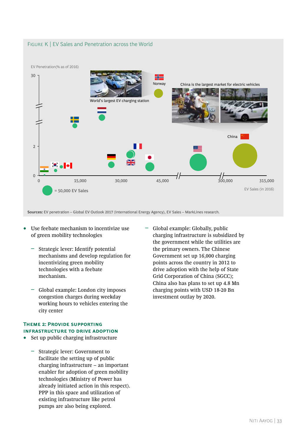### FIGURE K | EV Sales and Penetration across the World



**Sources:** EV penetration – Global EV Outlook 2017 (International Energy Agency), EV Sales – MarkLines research.

- Use feebate mechanism to incentivize use of green mobility technologies
	- ǟ Strategic lever: Identify potential mechanisms and develop regulation for incentivizing green mobility technologies with a feebate mechanism.
	- ǟ Global example: London city imposes congestion charges during weekday working hours to vehicles entering the city center

#### **Theme 2: Provide supporting infrastructure to drive adoption**

- Set up public charging infrastructure
	- ǟ Strategic lever: Government to facilitate the setting up of public charging infrastructure – an important enabler for adoption of green mobility technologies (Ministry of Power has already initiated action in this respect). PPP in this space and utilization of existing infrastructure like petrol pumps are also being explored.

ǟ Global example: Globally, public charging infrastructure is subsidized by the government while the utilities are the primary owners. The Chinese Government set up 16,000 charging points across the country in 2012 to drive adoption with the help of State Grid Corporation of China (SGCC); China also has plans to set up 4.8 Mn charging points with USD 18-20 Bn investment outlay by 2020.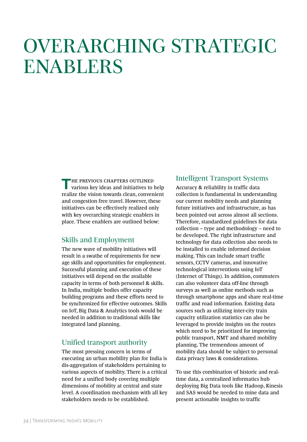# OVERARCHING STRATEGIC ENABLERS

**THE PREVIOUS CHAPTERS OUTLINED**<br>various key ideas and initiatives to help realize the vision towards clean, convenient and congestion free travel. However, these initiatives can be effectively realized only with key overarching strategic enablers in place. These enablers are outlined below:

# Skills and Employment

The new wave of mobility initiatives will result in a swathe of requirements for new age skills and opportunities for employment. Successful planning and execution of these initiatives will depend on the available capacity in terms of both personnel & skills. In India, multiple bodies offer capacity building programs and these efforts need to be synchronized for effective outcomes. Skills on IoT, Big Data & Analytics tools would be needed in addition to traditional skills like integrated land planning.

# Unified transport authority

The most pressing concern in terms of executing an urban mobility plan for India is dis-aggregation of stakeholders pertaining to various aspects of mobility. There is a critical need for a unified body covering multiple dimensions of mobility at central and state level. A coordination mechanism with all key stakeholders needs to be established.

### Intelligent Transport Systems

Accuracy & reliability in traffic data collection is fundamental in understanding our current mobility needs and planning future initiatives and infrastructure, as has been pointed out across almost all sections. Therefore, standardized guidelines for data collection – type and methodology – need to be developed. The right infrastructure and technology for data collection also needs to be installed to enable informed decision making. This can include smart traffic sensors, CCTV cameras, and innovative technological interventions using IoT (Internet of Things). In addition, commuters can also volunteer data off-line through surveys as well as online methods such as through smartphone apps and share real-time traffic and road information. Existing data sources such as utilizing inter-city train capacity utilization statistics can also be leveraged to provide insights on the routes which need to be prioritized for improving public transport, NMT and shared mobility planning. The tremendous amount of mobility data should be subject to personal data privacy laws & considerations.

To use this combination of historic and realtime data, a centralized informatics hub deploying Big Data tools like Hadoop, Kinesis and SAS would be needed to mine data and present actionable insights to traffic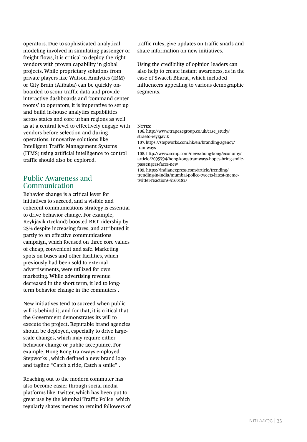operators. Due to sophisticated analytical modeling involved in simulating passenger or freight flows, it is critical to deploy the right vendors with proven capability in global projects. While proprietary solutions from private players like Watson Analytics (IBM) or City Brain (Alibaba) can be quickly onboarded to scour traffic data and provide interactive dashboards and 'command center rooms' to operators, it is imperative to set up and build in-house analytics capabilities across states and core urban regions as well as at a central level to effectively engage with vendors before selection and during operations. Innovative solutions like Intelligent Traffic Management Systems (ITMS) using artificial intelligence to control traffic should also be explored.

# Public Awareness and Communication

Behavior change is a critical lever for initiatives to succeed, and a visible and coherent communications strategy is essential to drive behavior change. For example, Reykjavik (Iceland) boosted BRT ridership by 25% despite increasing fares, and attributed it partly to an effective communications campaign, which focused on three core values of cheap, convenient and safe. Marketing spots on buses and other facilities, which previously had been sold to external advertisements, were utilized for own marketing. While advertising revenue decreased in the short term, it led to longterm behavior change in the commuters .

New initiatives tend to succeed when public will is behind it, and for that, it is critical that the Government demonstrates its will to execute the project. Reputable brand agencies should be deployed, especially to drive largescale changes, which may require either behavior change or public acceptance. For example, Hong Kong tramways employed Stepworks , which defined a new brand logo and tagline "Catch a ride, Catch a smile" .

Reaching out to the modern commuter has also become easier through social media platforms like Twitter, which has been put to great use by the Mumbai Traffic Police which regularly shares memes to remind followers of traffic rules, give updates on traffic snarls and share information on new initiatives.

Using the credibility of opinion leaders can also help to create instant awareness, as in the case of Swacch Bharat, which included influencers appealing to various demographic segments.

Notes:

106. http://www.trapezegroup.co.uk/case\_study/ straeto-reykjavik 107. https://stepworks.com.hk/en/branding-agency/ tramways

108. http://www.scmp.com/news/hong-kong/economy/ article/2095794/hong-kong-tramways-hopes-bring-smilepassengers-faces-new

109. https://indianexpress.com/article/trending/ trending-in-india/mumbai-police-tweets-latest-memetwitter-reactions-5160182/